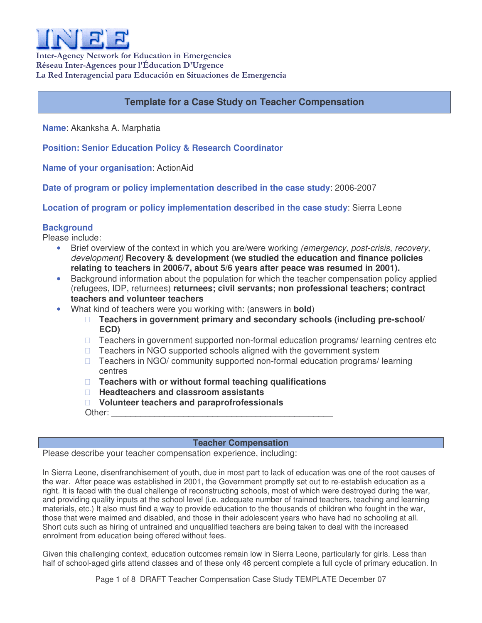

Inter-Agency Network for Education in Emergencies Réseau Inter-Agences pour l'Éducation D'Urgence La Red Interagencial para Educación en Situaciones de Emergencia

# **Template for a Case Study on Teacher Compensation**

**Name**: Akanksha A. Marphatia

**Position: Senior Education Policy & Research Coordinator**

**Name of your organisation**: ActionAid

**Date of program or policy implementation described in the case study**: 2006-2007

**Location of program or policy implementation described in the case study**: Sierra Leone

# **Background**

Please include:

- Brief overview of the context in which you are/were working *(emergency, post-crisis, recovery, development)* **Recovery & development (we studied the education and finance policies relating to teachers in 2006/7, about 5/6 years after peace was resumed in 2001).**
- Background information about the population for which the teacher compensation policy applied (refugees, IDP, returnees) **returnees; civil servants; non professional teachers; contract teachers and volunteer teachers**
- What kind of teachers were you working with: (answers in **bold**)

 **Teachers in government primary and secondary schools (including pre-school/ ECD)**

 Teachers in government supported non-formal education programs/ learning centres etc Teachers in NGO supported schools aligned with the government system Teachers in NGO/ community supported non-formal education programs/ learning centres

 **Teachers with or without formal teaching qualifications Headteachers and classroom assistants**

**Volunteer teachers and paraprofrofessionals**

Other: \_\_\_\_\_\_\_\_\_\_\_\_\_\_\_\_\_\_\_\_\_\_\_\_\_\_\_\_\_\_\_\_\_\_\_\_\_\_\_\_\_\_\_\_\_\_

## **Teacher Compensation**

Please describe your teacher compensation experience, including:

In Sierra Leone, disenfranchisement of youth, due in most part to lack of education was one of the root causes of the war. After peace was established in 2001, the Government promptly set out to re-establish education as a right. It is faced with the dual challenge of reconstructing schools, most of which were destroyed during the war, and providing quality inputs at the school level (i.e. adequate number of trained teachers, teaching and learning materials, etc.) It also must find a way to provide education to the thousands of children who fought in the war, those that were maimed and disabled, and those in their adolescent years who have had no schooling at all. Short cuts such as hiring of untrained and unqualified teachers are being taken to deal with the increased enrolment from education being offered without fees.

Given this challenging context, education outcomes remain low in Sierra Leone, particularly for girls. Less than half of school-aged girls attend classes and of these only 48 percent complete a full cycle of primary education. In

Page 1 of 8 DRAFT Teacher Compensation Case Study TEMPLATE December 07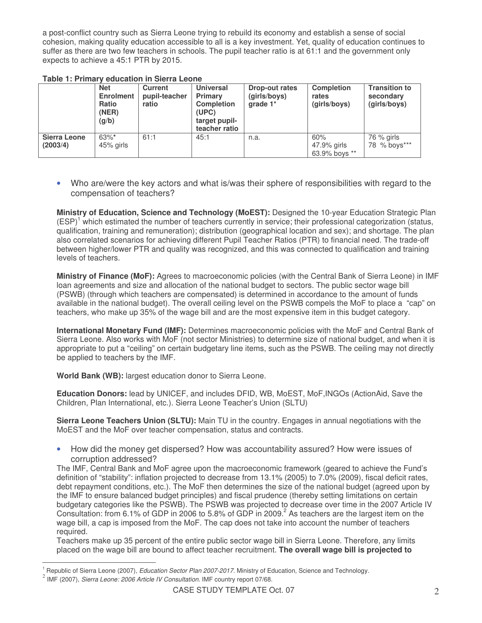a post-conflict country such as Sierra Leone trying to rebuild its economy and establish a sense of social cohesion, making quality education accessible to all is a key investment. Yet, quality of education continues to suffer as there are two few teachers in schools. The pupil teacher ratio is at 61:1 and the government only expects to achieve a 45:1 PTR by 2015.

| LAMC T. FILMALY CUUCAUVILIII JICHA LCVIIC |                  |                |                   |                |                   |                      |  |  |
|-------------------------------------------|------------------|----------------|-------------------|----------------|-------------------|----------------------|--|--|
|                                           | <b>Net</b>       | <b>Current</b> | <b>Universal</b>  | Drop-out rates | <b>Completion</b> | <b>Transition to</b> |  |  |
|                                           | <b>Enrolment</b> | pupil-teacher  | <b>Primary</b>    | (girls/boys)   | rates             | secondary            |  |  |
|                                           | Ratio            | ratio          | <b>Completion</b> | qrade $1^*$    | (girls/boys)      | (girls/boys)         |  |  |
|                                           | (NER)            |                | (UPC)             |                |                   |                      |  |  |
|                                           | (g/b)            |                | target pupil-     |                |                   |                      |  |  |
|                                           |                  |                | teacher ratio     |                |                   |                      |  |  |
| <b>Sierra Leone</b>                       | $63\%$ *         | 61:1           | 45:1              | n.a.           | 60%               | 76 % girls           |  |  |
| (2003/4)                                  | 45% girls        |                |                   |                | 47.9% girls       | 78 % boys***         |  |  |
|                                           |                  |                |                   |                | 63.9% boys **     |                      |  |  |

## **Table 1: Primary education in Sierra Leone**

• Who are/were the key actors and what is/was their sphere of responsibilities with regard to the compensation of teachers?

**Ministry of Education, Science and Technology (MoEST):** Designed the 10-year Education Strategic Plan (ESP)<sup>1</sup> which estimated the number of teachers currently in service; their professional categorization (status, qualification, training and remuneration); distribution (geographical location and sex); and shortage. The plan also correlated scenarios for achieving different Pupil Teacher Ratios (PTR) to financial need. The trade-off between higher/lower PTR and quality was recognized, and this was connected to qualification and training levels of teachers.

**Ministry of Finance (MoF):** Agrees to macroeconomic policies (with the Central Bank of Sierra Leone) in IMF loan agreements and size and allocation of the national budget to sectors. The public sector wage bill (PSWB) (through which teachers are compensated) is determined in accordance to the amount of funds available in the national budget). The overall ceiling level on the PSWB compels the MoF to place a "cap" on teachers, who make up 35% of the wage bill and are the most expensive item in this budget category.

**International Monetary Fund (IMF):** Determines macroeconomic policies with the MoF and Central Bank of Sierra Leone. Also works with MoF (not sector Ministries) to determine size of national budget, and when it is appropriate to put a "ceiling" on certain budgetary line items, such as the PSWB. The ceiling may not directly be applied to teachers by the IMF.

**World Bank (WB):** largest education donor to Sierra Leone.

**Education Donors:** lead by UNICEF, and includes DFID, WB, MoEST, MoF,INGOs (ActionAid, Save the Children, Plan International, etc.). Sierra Leone Teacher's Union (SLTU)

**Sierra Leone Teachers Union (SLTU):** Main TU in the country. Engages in annual negotiations with the MoEST and the MoF over teacher compensation, status and contracts.

• How did the money get dispersed? How was accountability assured? How were issues of corruption addressed?

The IMF, Central Bank and MoF agree upon the macroeconomic framework (geared to achieve the Fund's definition of "stability": inflation projected to decrease from 13.1% (2005) to 7.0% (2009), fiscal deficit rates, debt repayment conditions, etc.). The MoF then determines the size of the national budget (agreed upon by the IMF to ensure balanced budget principles) and fiscal prudence (thereby setting limitations on certain budgetary categories like the PSWB). The PSWB was projected to decrease over time in the 2007 Article IV Consultation: from 6.1% of GDP in 2006 to 5.8% of GDP in 2009.<sup>2</sup> As teachers are the largest item on the wage bill, a cap is imposed from the MoF. The cap does not take into account the number of teachers required.

Teachers make up 35 percent of the entire public sector wage bill in Sierra Leone. Therefore, any limits placed on the wage bill are bound to affect teacher recruitment. **The overall wage bill is projected to**

<sup>1</sup> Republic of Sierra Leone (2007), *Education Sector Plan 2007-2017.* Ministry of Education, Science and Technology.

<sup>2</sup> IMF (2007), *Sierra Leone: 2006 Article IV Consultation.* IMF country report 07/68.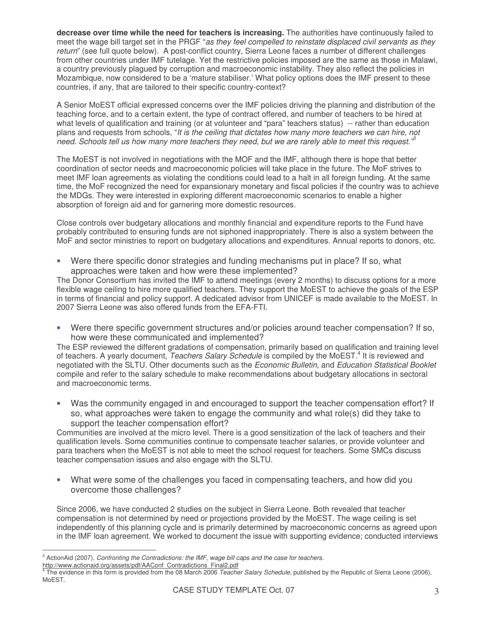**decrease over time while the need for teachers is increasing.** The authorities have continuously failed to meet the wage bill target set in the PRGF "*as they feel compelled to reinstate displaced civil servants as they return*" (see full quote below). A post-conflict country, Sierra Leone faces a number of different challenges from other countries under IMF tutelage. Yet the restrictive policies imposed are the same as those in Malawi, a country previously plagued by corruption and macroeconomic instability. They also reflect the policies in Mozambique, now considered to be a 'mature stabiliser.' What policy options does the IMF present to these countries, if any, that are tailored to their specific country-context?

A Senior MoEST official expressed concerns over the IMF policies driving the planning and distribution of the teaching force, and to a certain extent, the type of contract offered, and number of teachers to be hired at what levels of qualification and training (or at volunteer and "para" teachers status) -- rather than education plans and requests from schools, "*It is the ceiling that dictates how many more teachers we can hire, not* need. Schools tell us how many more teachers they need, but we are rarely able to meet this request.<sup>33</sup>

The MoEST is not involved in negotiations with the MOF and the IMF, although there is hope that better coordination of sector needs and macroeconomic policies will take place in the future. The MoF strives to meet IMF loan agreements as violating the conditions could lead to a halt in all foreign funding. At the same time, the MoF recognized the need for expansionary monetary and fiscal policies if the country was to achieve the MDGs. They were interested in exploring different macroeconomic scenarios to enable a higher absorption of foreign aid and for garnering more domestic resources.

Close controls over budgetary allocations and monthly financial and expenditure reports to the Fund have probably contributed to ensuring funds are not siphoned inappropriately. There is also a system between the MoF and sector ministries to report on budgetary allocations and expenditures. Annual reports to donors, etc.

• Were there specific donor strategies and funding mechanisms put in place? If so, what approaches were taken and how were these implemented?

The Donor Consortium has invited the IMF to attend meetings (every 2 months) to discuss options for a more flexible wage ceiling to hire more qualified teachers. They support the MoEST to achieve the goals of the ESP in terms of financial and policy support. A dedicated advisor from UNICEF is made available to the MoEST. In 2007 Sierra Leone was also offered funds from the EFA-FTI.

• Were there specific government structures and/or policies around teacher compensation? If so, how were these communicated and implemented?

The ESP reviewed the different gradations of compensation, primarily based on qualification and training level of teachers. A yearly document, *Teachers Salary Schedule* is compiled by the MoEST.<sup>4</sup> It is reviewed and negotiated with the SLTU. Other documents such as the *Economic Bulletin*, and *Education Statistical Booklet* compile and refer to the salary schedule to make recommendations about budgetary allocations in sectoral and macroeconomic terms.

• Was the community engaged in and encouraged to support the teacher compensation effort? If so, what approaches were taken to engage the community and what role(s) did they take to support the teacher compensation effort?

Communities are involved at the micro level. There is a good sensitization of the lack of teachers and their qualification levels. Some communities continue to compensate teacher salaries, or provide volunteer and para teachers when the MoEST is not able to meet the school request for teachers. Some SMCs discuss teacher compensation issues and also engage with the SLTU.

• What were some of the challenges you faced in compensating teachers, and how did you overcome those challenges?

Since 2006, we have conducted 2 studies on the subject in Sierra Leone. Both revealed that teacher compensation is not determined by need or projections provided by the MoEST. The wage ceiling is set independently of this planning cycle and is primarily determined by macroeconomic concerns as agreed upon in the IMF loan agreement. We worked to document the issue with supporting evidence; conducted interviews

<sup>3</sup> ActionAid (2007), *Confronting the Contradictions: the IMF, wage bill caps and the case for teachers.*

http://www.actionaid.org/assets/pdf/AAConf\_Contradictions\_Final2.pdf<br><sup>4</sup> The ovidence in this form is provided from the 08 March 2006, Teach The evidence in this form is provided from the 08 March 2006 *Teacher Salary Schedule*, published by the Republic of Sierra Leone (2006), MoEST.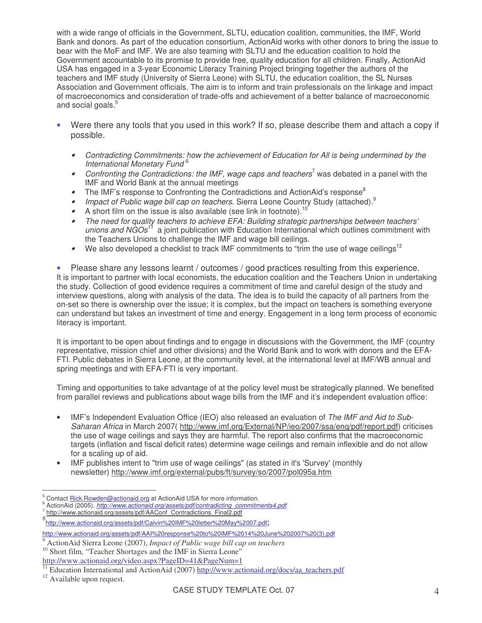with a wide range of officials in the Government, SLTU, education coalition, communities, the IMF, World Bank and donors. As part of the education consortium, ActionAid works with other donors to bring the issue to bear with the MoF and IMF. We are also teaming with SLTU and the education coalition to hold the Government accountable to its promise to provide free, quality education for all children. Finally, ActionAid USA has engaged in a 3-year Economic Literacy Training Project bringing together the authors of the teachers and IMF study (University of Sierra Leone) with SLTU, the education coalition, the SL Nurses Association and Government officials. The aim is to inform and train professionals on the linkage and impact of macroeconomics and consideration of trade-offs and achievement of a better balance of macroeconomic and social goals. 5

- Were there any tools that you used in this work? If so, please describe them and attach a copy if possible.
	- • *Contradicting Commitments: how the achievement of Education for All is being undermined by the International Monetary Fund* 6
	- *Confronting the Contradictions: the IMF, wage caps and teachers* <sup>7</sup> was debated in a panel with the IMF and World Bank at the annual meetings
	- The IMF's response to Confronting the Contradictions and ActionAid's response<sup>8</sup>
	- *Impact of Public wage bill cap on teachers*. Sierra Leone Country Study (attached). 9
	- •A short film on the issue is also available (see link in footnote).<sup>10</sup>
	- • *The need for quality teachers to achieve EFA: Building strategic partnerships between teachers'* unions and NGOs<sup>11</sup> a joint publication with Education International which outlines commitment with the Teachers Unions to challenge the IMF and wage bill ceilings.
	- •We also developed a checklist to track IMF commitments to "trim the use of wage ceilings<sup>12</sup>

Please share any lessons learnt / outcomes / good practices resulting from this experience. It is important to partner with local economists, the education coalition and the Teachers Union in undertaking the study. Collection of good evidence requires a commitment of time and careful design of the study and interview questions, along with analysis of the data. The idea is to build the capacity of all partners from the on-set so there is ownership over the issue; it is complex, but the impact on teachers is something everyone can understand but takes an investment of time and energy. Engagement in a long term process of economic literacy is important.

It is important to be open about findings and to engage in discussions with the Government, the IMF (country representative, mission chief and other divisions) and the World Bank and to work with donors and the EFA-FTI. Public debates in Sierra Leone, at the community level, at the international level at IMF/WB annual and spring meetings and with EFA-FTI is very important.

Timing and opportunities to take advantage of at the policy level must be strategically planned. We benefited from parallel reviews and publications about wage bills from the IMF and it's independent evaluation office:

- IMF's Independent Evaluation Office (IEO) also released an evaluation of *The IMF and Aid to Sub-Saharan Africa* in March 2007( http://www.imf.org/External/NP/ieo/2007/ssa/eng/pdf/report.pdf) criticises the use of wage ceilings and says they are harmful. The report also confirms that the macroeconomic targets (inflation and fiscal deficit rates) determine wage ceilings and remain inflexible and do not allow for a scaling up of aid.
- IMF publishes intent to "trim use of wage ceilings" (as stated in it's 'Survey'(monthly newsletter) http://www.imf.org/external/pubs/ft/survey/so/2007/pol095a.htm

Contact Rick.Rowden@actionaid.org at ActionAid USA for more information.

<sup>6</sup> ActionAid (2005), *http://www.actionaid.org/assets/pdf/contradicting\_commitments4.pdf* 7

http://www.actionaid.org/assets/pdf/AAConf\_Contradictions\_Final2.pdf

<sup>8&</sup>lt;br>http://www.actionaid.org/assets/pdf/Calvin%20IMF%20letter%20May%2007.pdf;

http://www.actionaid.org/assets/pdf/AAI%20response%20to%20IMF%2014%20June%202007%20(3).pdf

<sup>9</sup> ActionAid Sierra Leone (2007), *Impact of Public wage bill cap on teachers*

<sup>&</sup>lt;sup>10</sup> Short film, "Teacher Shortages and the IMF in Sierra Leone"

http://www.actionaid.org/video.aspx?PageID=41&PageNum=1

 $\frac{11}{11}$  Education International and ActionAid (2007) http://www.actionaid.org/docs/aa\_teachers.pdf

 $12$  Available upon request.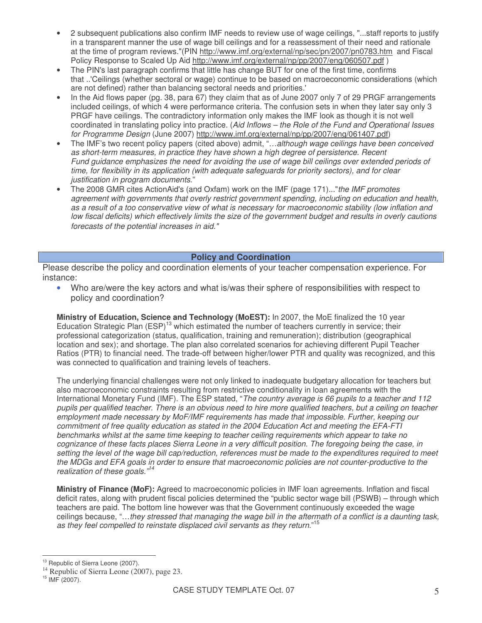- 2 subsequent publications also confirm IMF needs to review use of wage ceilings, "...staff reports to justify in a transparent manner the use of wage bill ceilings and for a reassessment of their need and rationale at the time of program reviews."(PIN http://www.imf.org/external/np/sec/pn/2007/pn0783.htm and Fiscal Policy Response to Scaled Up Aid http://www.imf.org/external/np/pp/2007/eng/060507.pdf )
- The PIN's last paragraph confirms that little has change BUT for one of the first time, confirms that ..'Ceilings (whether sectoral or wage) continue to be based on macroeconomic considerations (which are not defined) rather than balancing sectoral needs and priorities.'
- In the Aid flows paper (pg. 38, para 67) they claim that as of June 2007 only 7 of 29 PRGF arrangements included ceilings, of which 4 were performance criteria. The confusion sets in when they later say only 3 PRGF have ceilings. The contradictory information only makes the IMF look as though it is not well coordinated in translating policy into practice. (*Aid Inflows – the Role of the Fund and Operational Issues for Programme Design* (June 2007) http://www.imf.org/external/np/pp/2007/eng/061407.pdf)
- The IMF's two recent policy papers (cited above) admit, "*…although wage ceilings have been conceived as short-term measures, in practice they have shown a high degree of persistence. Recent Fund guidance emphasizes the need for avoiding the use of wage bill ceilings over extended periods of time, for flexibility in its application (with adequate safeguards for priority sectors), and for clear justification in program documents*."
- The 2008 GMR cites ActionAid's (and Oxfam) work on the IMF (page 171)..."*the IMF promotes agreement with governments that overly restrict government spending, including on education and health,* as a result of a too conservative view of what is necessary for macroeconomic stability (low inflation and low fiscal deficits) which effectively limits the size of the government budget and results in overly cautions *forecasts of the potential increases in aid."*

#### **Policy and Coordination**

Please describe the policy and coordination elements of your teacher compensation experience. For instance:

• Who are/were the key actors and what is/was their sphere of responsibilities with respect to policy and coordination?

**Ministry of Education, Science and Technology (MoEST):** In 2007, the MoE finalized the 10 year Education Strategic Plan (ESP)<sup>13</sup> which estimated the number of teachers currently in service; their professional categorization (status, qualification, training and remuneration); distribution (geographical location and sex); and shortage. The plan also correlated scenarios for achieving different Pupil Teacher Ratios (PTR) to financial need. The trade-off between higher/lower PTR and quality was recognized, and this was connected to qualification and training levels of teachers.

The underlying financial challenges were not only linked to inadequate budgetary allocation for teachers but also macroeconomic constraints resulting from restrictive conditionality in loan agreements with the International Monetary Fund (IMF). The ESP stated, "*The country average is 66 pupils to a teacher and 112* pupils per qualified teacher. There is an obvious need to hire more qualified teachers, but a ceiling on teacher *employment made necessary by MoF/IMF requirements has made that impossible. Further, keeping our commitment of free quality education as stated in the 2004 Education Act and meeting the EFA-FTI benchmarks whilst at the same time keeping to teacher ceiling requirements which appear to take no* cognizance of these facts places Sierra Leone in a very difficult position. The foregoing being the case, in setting the level of the wage bill cap/reduction, references must be made to the expenditures required to meet *the MDGs and EFA goals in order to ensure that macroeconomic policies are not counter-productive to the realization of these goals." 14*

**Ministry of Finance (MoF):** Agreed to macroeconomic policies in IMF loan agreements. Inflation and fiscal deficit rates, along with prudent fiscal policies determined the "public sector wage bill (PSWB) – through which teachers are paid. The bottom line however was that the Government continuously exceeded the wage ceilings because, "...they stressed that managing the wage bill in the aftermath of a conflict is a daunting task, *as they feel compelled to reinstate displaced civil servants as they return*." 15

Republic of Sierra Leone (2007).

 $14$  Republic of Sierra Leone (2007), page 23.

 $15$  IMF (2007).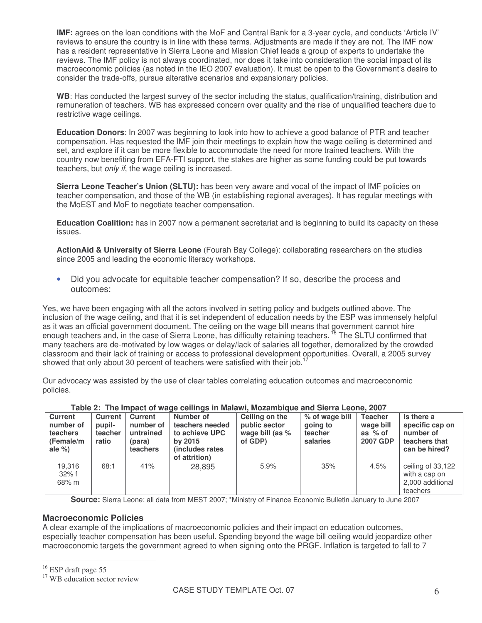**IMF:** agrees on the loan conditions with the MoF and Central Bank for a 3-year cycle, and conducts 'Article IV' reviews to ensure the country is in line with these terms. Adjustments are made if they are not. The IMF now has a resident representative in Sierra Leone and Mission Chief leads a group of experts to undertake the reviews. The IMF policy is not always coordinated, nor does it take into consideration the social impact of its macroeconomic policies (as noted in the IEO 2007 evaluation). It must be open to the Government's desire to consider the trade-offs, pursue alterative scenarios and expansionary policies.

**WB**: Has conducted the largest survey of the sector including the status, qualification/training, distribution and remuneration of teachers. WB has expressed concern over quality and the rise of unqualified teachers due to restrictive wage ceilings.

**Education Donors**: In 2007 was beginning to look into how to achieve a good balance of PTR and teacher compensation. Has requested the IMF join their meetings to explain how the wage ceiling is determined and set, and explore if it can be more flexible to accommodate the need for more trained teachers. With the country now benefiting from EFA-FTI support, the stakes are higher as some funding could be put towards teachers, but *only if*, the wage ceiling is increased.

**Sierra Leone Teacher's Union (SLTU):** has been very aware and vocal of the impact of IMF policies on teacher compensation, and those of the WB (in establishing regional averages). It has regular meetings with the MoEST and MoF to negotiate teacher compensation.

**Education Coalition:** has in 2007 now a permanent secretariat and is beginning to build its capacity on these issues.

**ActionAid & University of Sierra Leone** (Fourah Bay College): collaborating researchers on the studies since 2005 and leading the economic literacy workshops.

• Did you advocate for equitable teacher compensation? If so, describe the process and outcomes:

Yes, we have been engaging with all the actors involved in setting policy and budgets outlined above. The inclusion of the wage ceiling, and that it is set independent of education needs by the ESP was immensely helpful as it was an official government document. The ceiling on the wage bill means that government cannot hire enough teachers and, in the case of Sierra Leone, has difficulty retaining teachers. <sup>16</sup> The SLTU confirmed that many teachers are de-motivated by low wages or delay/lack of salaries all together, demoralized by the crowded classroom and their lack of training or access to professional development opportunities. Overall, a 2005 survey showed that only about 30 percent of teachers were satisfied with their job.<sup>17</sup>

Our advocacy was assisted by the use of clear tables correlating education outcomes and macroeconomic policies.

| <b>Current</b><br>number of<br>teachers<br>(Female/m<br>ale $%$ | Current<br>pupil-<br>teacher<br>ratio | <b>Current</b><br>number of<br>untrained<br>(para)<br>teachers | $1.4441$ and $1.119$ interest of trade agriculate in marketing momentually and along motion modelling that<br>Number of<br>teachers needed<br>to achieve UPC<br>by 2015<br>(includes rates) | Ceiling on the<br>public sector<br>wage bill (as $%$<br>of GDP) | % of wage bill<br>going to<br>teacher<br>salaries | <b>Teacher</b><br>wage bill<br>as % of<br><b>2007 GDP</b> | Is there a<br>specific cap on<br>number of<br>teachers that<br>can be hired? |
|-----------------------------------------------------------------|---------------------------------------|----------------------------------------------------------------|---------------------------------------------------------------------------------------------------------------------------------------------------------------------------------------------|-----------------------------------------------------------------|---------------------------------------------------|-----------------------------------------------------------|------------------------------------------------------------------------------|
| 19.316<br>$32\%$ f<br>68% m                                     | 68:1                                  | 41%                                                            | of attrition)<br>28,895                                                                                                                                                                     | 5.9%                                                            | 35%                                               | 4.5%                                                      | ceiling of 33,122<br>with a cap on<br>2,000 additional<br>teachers           |

## **Table 2: The Impact of wage ceilings in Malawi, Mozambique and Sierra Leone, 2007**

**Source:** Sierra Leone: all data from MEST 2007; \*Ministry of Finance Economic Bulletin January to June 2007

### **Macroeconomic Policies**

A clear example of the implications of macroeconomic policies and their impact on education outcomes, especially teacher compensation has been useful. Spending beyond the wage bill ceiling would jeopardize other macroeconomic targets the government agreed to when signing onto the PRGF. Inflation is targeted to fall to 7

<sup>&</sup>lt;sup>16</sup> ESP draft page 55

<sup>&</sup>lt;sup>17</sup> WB education sector review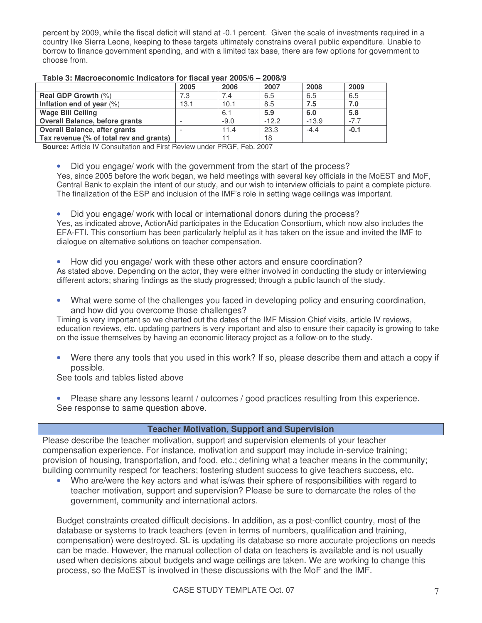percent by 2009, while the fiscal deficit will stand at -0.1 percent. Given the scale of investments required in a country like Sierra Leone, keeping to these targets ultimately constrains overall public expenditure. Unable to borrow to finance government spending, and with a limited tax base, there are few options for government to choose from.

|                                         | 2005 | 2006   | 2007    | 2008    | 2009   |
|-----------------------------------------|------|--------|---------|---------|--------|
| <b>Real GDP Growth (%)</b>              | 7.3  | 7.4    | 6.5     | 6.5     | 6.5    |
| Inflation end of year $(\%)$            | 13.1 | 10.1   | 8.5     | 7.5     | 7.0    |
| <b>Wage Bill Ceiling</b>                |      | 6.1    | 5.9     | 6.0     | 5.8    |
| <b>Overall Balance, before grants</b>   |      | $-9.0$ | $-12.2$ | $-13.9$ | $-7.7$ |
| <b>Overall Balance, after grants</b>    |      | 11.4   | 23.3    | $-4.4$  | $-0.1$ |
| Tax revenue (% of total rev and grants) |      |        | 18      |         |        |

#### **Table 3: Macroeconomic Indicators for fiscal year 2005/6 – 2008/9**

**Source:** Article IV Consultation and First Review under PRGF, Feb. 2007

• Did you engage/ work with the government from the start of the process?

Yes, since 2005 before the work began, we held meetings with several key officials in the MoEST and MoF, Central Bank to explain the intent of our study, and our wish to interview officials to paint a complete picture. The finalization of the ESP and inclusion of the IMF's role in setting wage ceilings was important.

• Did you engage/ work with local or international donors during the process? Yes, as indicated above, ActionAid participates in the Education Consortium, which now also includes the EFA-FTI. This consortium has been particularly helpful as it has taken on the issue and invited the IMF to dialogue on alternative solutions on teacher compensation.

• How did you engage/ work with these other actors and ensure coordination?

As stated above. Depending on the actor, they were either involved in conducting the study or interviewing different actors; sharing findings as the study progressed; through a public launch of the study.

• What were some of the challenges you faced in developing policy and ensuring coordination, and how did you overcome those challenges?

Timing is very important so we charted out the dates of the IMF Mission Chief visits, article IV reviews, education reviews, etc. updating partners is very important and also to ensure their capacity is growing to take on the issue themselves by having an economic literacy project as a follow-on to the study.

• Were there any tools that you used in this work? If so, please describe them and attach a copy if possible.

See tools and tables listed above

Please share any lessons learnt / outcomes / good practices resulting from this experience. See response to same question above.

## **Teacher Motivation, Support and Supervision**

Please describe the teacher motivation, support and supervision elements of your teacher compensation experience. For instance, motivation and support may include in-service training; provision of housing, transportation, and food, etc.; defining what a teacher means in the community; building community respect for teachers; fostering student success to give teachers success, etc.

• Who are/were the key actors and what is/was their sphere of responsibilities with regard to teacher motivation, support and supervision? Please be sure to demarcate the roles of the government, community and international actors.

Budget constraints created difficult decisions. In addition, as a post-conflict country, most of the database or systems to track teachers (even in terms of numbers, qualification and training, compensation) were destroyed. SL is updating its database so more accurate projections on needs can be made. However, the manual collection of data on teachers is available and is not usually used when decisions about budgets and wage ceilings are taken. We are working to change this process, so the MoEST is involved in these discussions with the MoF and the IMF.